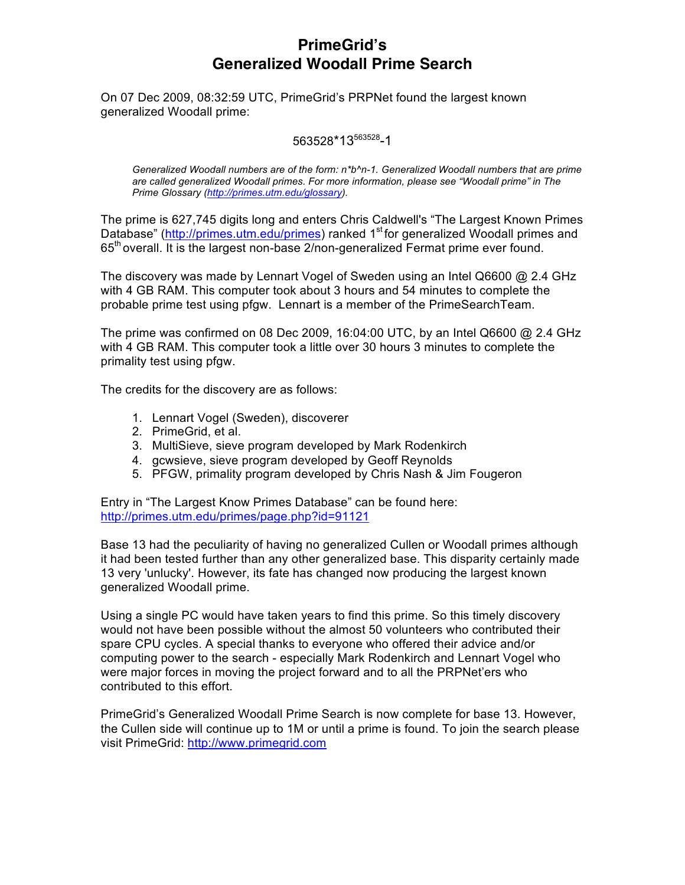# **PrimeGrid's Generalized Woodall Prime Search**

On 07 Dec 2009, 08:32:59 UTC, PrimeGrid's PRPNet found the largest known generalized Woodall prime:

### 563528\*13563528-1

*Generalized Woodall numbers are of the form: n\*b^n-1. Generalized Woodall numbers that are prime are called generalized Woodall primes. For more information, please see "Woodall prime" in The Prime Glossary (http://primes.utm.edu/glossary).*

The prime is 627,745 digits long and enters Chris Caldwell's "The Largest Known Primes Database" (http://primes.utm.edu/primes) ranked 1<sup>st</sup> for generalized Woodall primes and 65<sup>th</sup> overall. It is the largest non-base 2/non-generalized Fermat prime ever found.

The discovery was made by Lennart Vogel of Sweden using an Intel Q6600 @ 2.4 GHz with 4 GB RAM. This computer took about 3 hours and 54 minutes to complete the probable prime test using pfgw. Lennart is a member of the PrimeSearchTeam.

The prime was confirmed on 08 Dec 2009, 16:04:00 UTC, by an Intel Q6600 @ 2.4 GHz with 4 GB RAM. This computer took a little over 30 hours 3 minutes to complete the primality test using pfgw.

The credits for the discovery are as follows:

- 1. Lennart Vogel (Sweden), discoverer
- 2. PrimeGrid, et al.
- 3. MultiSieve, sieve program developed by Mark Rodenkirch
- 4. gcwsieve, sieve program developed by Geoff Reynolds
- 5. PFGW, primality program developed by Chris Nash & Jim Fougeron

Entry in "The Largest Know Primes Database" can be found here: http://primes.utm.edu/primes/page.php?id=91121

Base 13 had the peculiarity of having no generalized Cullen or Woodall primes although it had been tested further than any other generalized base. This disparity certainly made 13 very 'unlucky'. However, its fate has changed now producing the largest known generalized Woodall prime.

Using a single PC would have taken years to find this prime. So this timely discovery would not have been possible without the almost 50 volunteers who contributed their spare CPU cycles. A special thanks to everyone who offered their advice and/or computing power to the search - especially Mark Rodenkirch and Lennart Vogel who were major forces in moving the project forward and to all the PRPNet'ers who contributed to this effort.

PrimeGrid's Generalized Woodall Prime Search is now complete for base 13. However, the Cullen side will continue up to 1M or until a prime is found. To join the search please visit PrimeGrid: http://www.primegrid.com